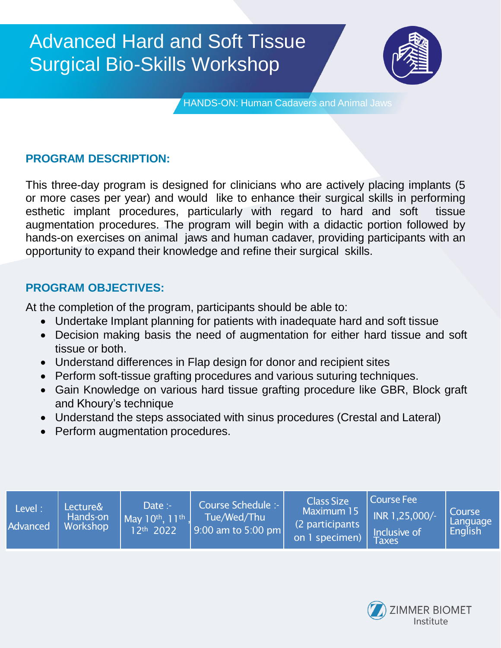

HANDS-ON: Human Cadavers and Animal Jaws

## **PROGRAM DESCRIPTION:**

This three-day program is designed for clinicians who are actively placing implants (5 or more cases per year) and would like to enhance their surgical skills in performing esthetic implant procedures, particularly with regard to hard and soft tissue augmentation procedures. The program will begin with a didactic portion followed by hands-on exercises on animal jaws and human cadaver, providing participants with an opportunity to expand their knowledge and refine their surgical skills.

### **PROGRAM OBJECTIVES:**

At the completion of the program, participants should be able to:

- Undertake Implant planning for patients with inadequate hard and soft tissue
- Decision making basis the need of augmentation for either hard tissue and soft tissue or both.
- Understand differences in Flap design for donor and recipient sites
- Perform soft-tissue grafting procedures and various suturing techniques.
- Gain Knowledge on various hard tissue grafting procedure like GBR, Block graft and Khoury's technique
- Understand the steps associated with sinus procedures (Crestal and Lateral)
- Perform augmentation procedures.

| Level:<br>Advanced | Lecture&<br>Hands-on<br>Workshop | Date :-<br>$M$ av 10 <sup>th</sup> , 11 <sup>th</sup> .<br>12th 2022 | Course Schedule :-<br>Tue/Wed/Thu<br>$\vert$ 9:00 am to 5:00 pm | <b>Class Size</b><br>Maximum 15<br>(2 participants)<br>on 1 specimen) | Course Fee<br>INR 1,25,000/-<br>Inclusive of<br><b>Taxes</b> | Course<br>Language<br>English |
|--------------------|----------------------------------|----------------------------------------------------------------------|-----------------------------------------------------------------|-----------------------------------------------------------------------|--------------------------------------------------------------|-------------------------------|
|--------------------|----------------------------------|----------------------------------------------------------------------|-----------------------------------------------------------------|-----------------------------------------------------------------------|--------------------------------------------------------------|-------------------------------|

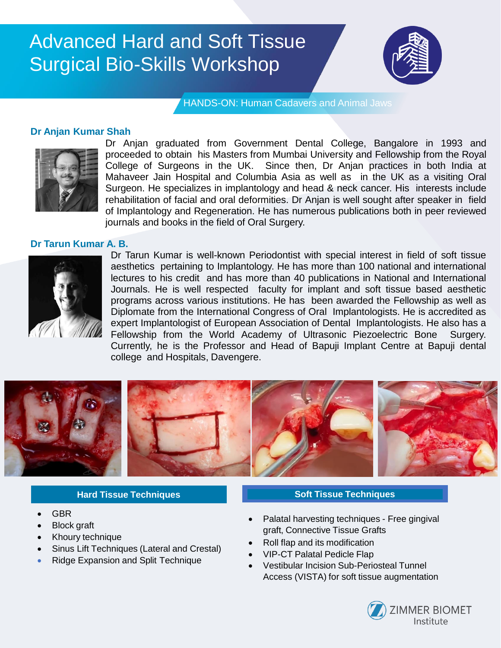

HANDS-ON: Human Cadavers and Animal Jaws

### **Dr Anjan Kumar Shah**



Dr Anjan graduated from Government Dental College, Bangalore in 1993 and proceeded to obtain his Masters from Mumbai University and Fellowship from the Royal College of Surgeons in the UK. Since then, Dr Anjan practices in both India at Mahaveer Jain Hospital and Columbia Asia as well as in the UK as a visiting Oral Surgeon. He specializes in implantology and head & neck cancer. His interests include rehabilitation of facial and oral deformities. Dr Anjan is well sought after speaker in field of Implantology and Regeneration. He has numerous publications both in peer reviewed journals and books in the field of Oral Surgery.

#### **Dr Tarun Kumar A. B.**



Dr Tarun Kumar is well-known Periodontist with special interest in field of soft tissue aesthetics pertaining to Implantology. He has more than 100 national and international lectures to his credit and has more than 40 publications in National and International Journals. He is well respected faculty for implant and soft tissue based aesthetic programs across various institutions. He has been awarded the Fellowship as well as Diplomate from the International Congress of Oral Implantologists. He is accredited as expert Implantologist of European Association of Dental Implantologists. He also has a Fellowship from the World Academy of Ultrasonic Piezoelectric Bone Surgery. Currently, he is the Professor and Head of Bapuji Implant Centre at Bapuji dental college and Hospitals, Davengere.



#### **Hard Tissue Techniques**

- GBR
- Block graft
- Khoury technique
- Sinus Lift Techniques (Lateral and Crestal)
- Ridge Expansion and Split Technique

#### **Soft Tissue Techniques**

- Palatal harvesting techniques Free gingival graft, Connective Tissue Grafts
- Roll flap and its modification
- VIP-CT Palatal Pedicle Flap
- Vestibular Incision Sub-Periosteal Tunnel Access (VISTA) for soft tissue augmentation

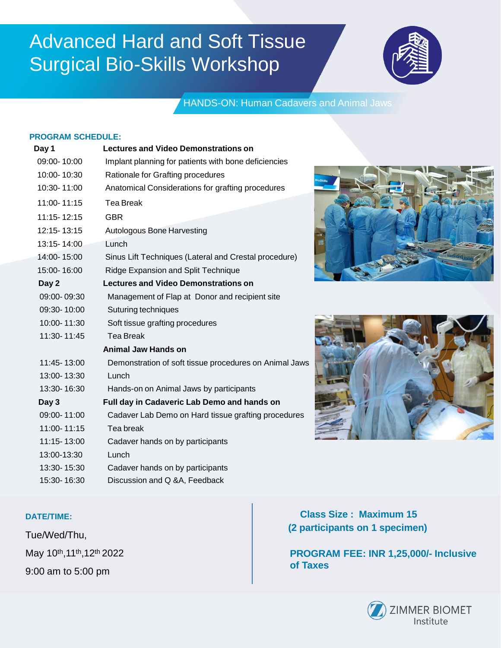

## HANDS-ON: Human Cadavers and Animal Jaws

#### **PROGRAM SCHEDULE:**

| Day 1       | <b>Lectures and Video Demonstrations on</b>            |
|-------------|--------------------------------------------------------|
| 09:00-10:00 | Implant planning for patients with bone deficiencies   |
| 10:00-10:30 | Rationale for Grafting procedures                      |
| 10:30-11:00 | Anatomical Considerations for grafting procedures      |
| 11:00-11:15 | <b>Tea Break</b>                                       |
| 11:15-12:15 | <b>GBR</b>                                             |
| 12:15-13:15 | Autologous Bone Harvesting                             |
| 13:15-14:00 | Lunch                                                  |
| 14:00-15:00 | Sinus Lift Techniques (Lateral and Crestal procedure)  |
| 15:00-16:00 | Ridge Expansion and Split Technique                    |
| Day 2       | <b>Lectures and Video Demonstrations on</b>            |
| 09:00-09:30 | Management of Flap at Donor and recipient site         |
| 09:30-10:00 | Suturing techniques                                    |
| 10:00-11:30 | Soft tissue grafting procedures                        |
| 11:30-11:45 | <b>Tea Break</b>                                       |
|             | <b>Animal Jaw Hands on</b>                             |
| 11:45-13:00 | Demonstration of soft tissue procedures on Animal Jaws |
| 13:00-13:30 | Lunch                                                  |
| 13:30-16:30 | Hands-on on Animal Jaws by participants                |
| Day 3       | Full day in Cadaveric Lab Demo and hands on            |
| 09:00-11:00 | Cadaver Lab Demo on Hard tissue grafting procedures    |
| 11:00-11:15 | Tea break                                              |
| 11:15-13:00 | Cadaver hands on by participants                       |
| 13:00-13:30 | Lunch                                                  |
| 13:30-15:30 | Cadaver hands on by participants                       |
| 15:30-16:30 | Discussion and Q &A, Feedback                          |





#### **DATE/TIME:**

Tue/Wed/Thu, May 10th,11th,12th 2022 9:00 am to 5:00 pm

**Class Size : Maximum 15 (2 participants on 1 specimen)**

**PROGRAM FEE: INR 1,25,000/- Inclusive of Taxes**